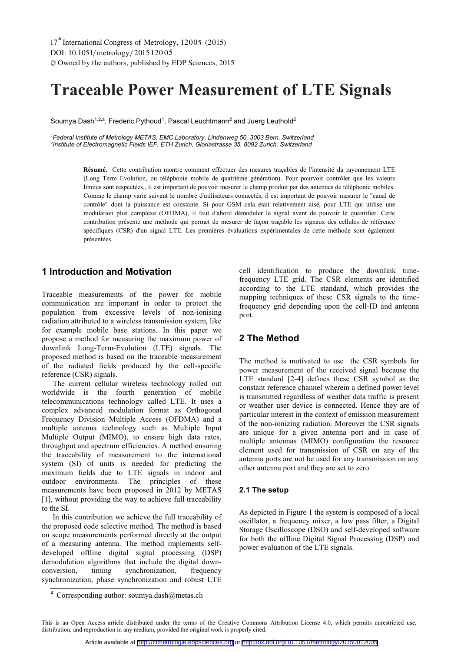# **Traceable Power Measurement of LTE Signals**

Soumya Dash<sup>1,2,a</sup>, Frederic Pythoud<sup>1</sup>, Pascal Leuchtmann<sup>2</sup> and Juerg Leuthold<sup>2</sup>

<sup>1</sup>Federal Institute of Metrology METAS, EMC Laboratory, Lindenweg 50, 3003 Bern, Switzerland *2 Institute of Electromagnetic Fields IEF, ETH Zurich, Gloriastrasse 35, 8092 Zurich, Switzerland* 

> Résumé. Cette contribution montre comment effectuer des mesures traçables de l'intensité du rayonnement LTE (Long Term Evolution, ou téléphonie mobile de quatrième génération). Pour pourvoir contrôler que les valeurs **Résumé.** limites sont respectées,, il est important de pouvoir mesurer le champ produit par des antennes de téléphonie mobiles. Comme le champ varie suivant le nombre d'utilisateurs connectés, il est important de pouvoir mesurer le "canal de contrôle" dont la puissance est constante. Si pour GSM cela était relativement aisé, pour LTE qui utilise une modulation plus complexe (OFDMA), il faut d'abord démoduler le signal avant de pouvoir le quantifier. Cette contribution présente une méthode qui permet de mesurer de façon traçable les signaux des cellules de référence spécifiques (CSR) d'un signal LTE. Les premières évaluations expérimentales de cette méthode sont également présentées.

# **1 Introduction and Motivation**

Traceable measurements of the power for mobile communication are important in order to protect the population from excessive levels of non-ionising radiation attributed to a wireless transmission system, like for example mobile base stations. In this paper we propose a method for measuring the maximum power of downlink Long-Term-Evolution (LTE) signals. The proposed method is based on the traceable measurement of the radiated fields produced by the cell-specific reference (CSR) signals.

The current cellular wireless technology rolled out worldwide is the fourth generation of mobile telecommunications technology called LTE. It uses a complex advanced modulation format as Orthogonal Frequency Division Multiple Access (OFDMA) and a multiple antenna technology such as Multiple Input Multiple Output (MIMO), to ensure high data rates, throughput and spectrum efficiencies. A method ensuring the traceability of measurement to the international system (SI) of units is needed for predicting the maximum fields due to LTE signals in indoor and outdoor environments. The principles of these measurements have been proposed in 2012 by METAS [1], without providing the way to achieve full traceability to the SI.

In this contribution we achieve the full traceability of the proposed code selective method. The method is based on scope measurements performed directly at the output of a measuring antenna. The method implements selfdeveloped offline digital signal processing (DSP) demodulation algorithms that include the digital downconversion, timing synchronization, frequency synchronization, phase synchronization and robust LTE

cell identification to produce the downlink timefrequency LTE grid. The CSR elements are identified according to the LTE standard, which provides the mapping techniques of these CSR signals to the timefrequency grid depending upon the cell-ID and antenna port.

# **2 The Method**

The method is motivated to use the CSR symbols for power measurement of the received signal because the LTE standard [2-4] defines these CSR symbol as the constant reference channel wherein a defined power level is transmitted regardless of weather data traffic is present or weather user device is connected. Hence they are of particular interest in the context of emission measurement of the non-ionizing radiation. Moreover the CSR signals are unique for a given antenna port and in case of multiple antennas (MIMO) configuration the resource element used for transmission of CSR on any of the antenna ports are not be used for any transmission on any other antenna port and they are set to zero.

#### **2.1 The setup**

As depicted in Figure 1 the system is composed of a local oscillator, a frequency mixer, a low pass filter, a Digital Storage Oscilloscope (DSO) and self-developed software for both the offline Digital Signal Processing (DSP) and power evaluation of the LTE signals.

<sup>&</sup>lt;sup>a</sup> Corresponding author: soumya.dash@metas.ch

This is an Open Access article distributed under the terms of the Creative Commons Attribution License 4.0, which permits unrestricted use, distribution, and reproduction in any medium, provided the original work is properly cited.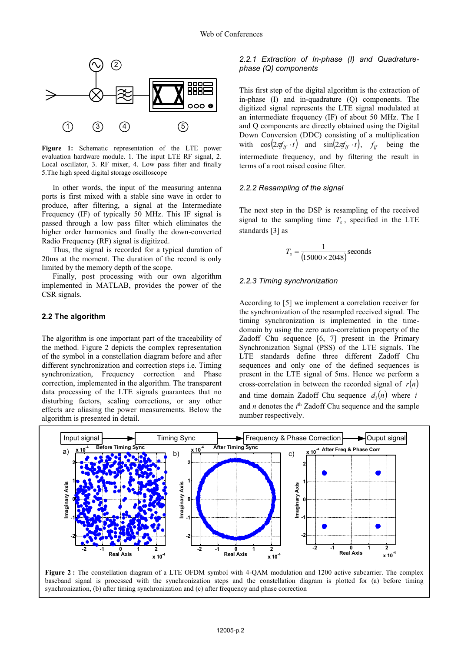

**Figure 1:** Schematic representation of the LTE power evaluation hardware module. 1. The input LTE RF signal, 2. Local oscillator, 3. RF mixer, 4. Low pass filter and finally 5.The high speed digital storage oscilloscope

In other words, the input of the measuring antenna ports is first mixed with a stable sine wave in order to produce, after filtering, a signal at the Intermediate Frequency (IF) of typically 50 MHz. This IF signal is passed through a low pass filter which eliminates the higher order harmonics and finally the down-converted Radio Frequency (RF) signal is digitized.

Thus, the signal is recorded for a typical duration of 20ms at the moment. The duration of the record is only limited by the memory depth of the scope.

Finally, post processing with our own algorithm implemented in MATLAB, provides the power of the CSR signals.

#### **2.2 The algorithm**

The algorithm is one important part of the traceability of the method. Figure 2 depicts the complex representation of the symbol in a constellation diagram before and after different synchronization and correction steps i.e. Timing synchronization, Frequency correction and Phase correction, implemented in the algorithm. The transparent data processing of the LTE signals guarantees that no disturbing factors, scaling corrections, or any other effects are aliasing the power measurements. Below the algorithm is presented in detail.

#### *2.2.1 Extraction of In-phase (I) and Quadraturephase (Q) components*

This first step of the digital algorithm is the extraction of in-phase (I) and in-quadrature (Q) components. The digitized signal represents the LTE signal modulated at an intermediate frequency (IF) of about 50 MHz. The I and Q components are directly obtained using the Digital Down Conversion (DDC) consisting of a multiplication with  $\cos\left(2\pi f_{if} \cdot t\right)$  and  $\sin\left(2\pi f_{if} \cdot t\right)$ ,  $f_{if}$  being the intermediate frequency, and by filtering the result in terms of a root raised cosine filter.

#### *2.2.2 Resampling of the signal*

The next step in the DSP is resampling of the received signal to the sampling time  $T_s$ , specified in the LTE standards [3] as

$$
T_s = \frac{1}{(15000 \times 2048)} \text{seconds}
$$

#### *2.2.3 Timing synchronization*

According to [5] we implement a correlation receiver for the synchronization of the resampled received signal. The timing synchronization is implemented in the timedomain by using the zero auto-correlation property of the Zadoff Chu sequence [6, 7] present in the Primary Synchronization Signal (PSS) of the LTE signals. The LTE standards define three different Zadoff Chu sequences and only one of the defined sequences is present in the LTE signal of 5ms. Hence we perform a cross-correlation in between the recorded signal of  $r(n)$ and time domain Zadoff Chu sequence  $d_i(n)$  where *i* and *n* denotes the *i*<sup>th</sup> Zadoff Chu sequence and the sample number respectively.



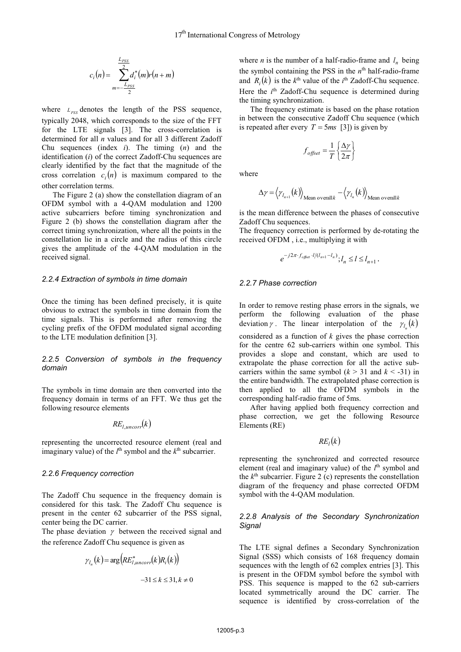$$
c_i(n) = \sum_{m=-\frac{L_{PSS}}{2}}^{\frac{L_{PSS}}{2}} d_i^*(m)r(n+m)
$$

where  $L_{pss}$  denotes the length of the PSS sequence, typically 2048, which corresponds to the size of the FFT for the LTE signals [3]. The cross-correlation is determined for all *n* values and for all 3 different Zadoff Chu sequences (index *i*). The timing (*n*) and the identification (*i*) of the correct Zadoff-Chu sequences are clearly identified by the fact that the magnitude of the cross correlation  $c_i(n)$  is maximum compared to the other correlation terms.

The Figure 2 (a) show the constellation diagram of an OFDM symbol with a 4-QAM modulation and 1200 active subcarriers before timing synchronization and Figure 2 (b) shows the constellation diagram after the correct timing synchronization, where all the points in the constellation lie in a circle and the radius of this circle gives the amplitude of the 4-QAM modulation in the received signal.

#### *2.2.4 Extraction of symbols in time domain*

Once the timing has been defined precisely, it is quite obvious to extract the symbols in time domain from the time signals. This is performed after removing the cycling prefix of the OFDM modulated signal according to the LTE modulation definition [3].

#### *2.2.5 Conversion of symbols in the frequency domain*

The symbols in time domain are then converted into the frequency domain in terms of an FFT. We thus get the following resource elements

$$
RE_{l,uncorr}(k)
$$

representing the uncorrected resource element (real and imaginary value) of the  $l^{\text{th}}$  symbol and the  $k^{\text{th}}$  subcarrier.

#### *2.2.6 Frequency correction*

The Zadoff Chu sequence in the frequency domain is considered for this task. The Zadoff Chu sequence is present in the center 62 subcarrier of the PSS signal, center being the DC carrier.

The phase deviation  $\gamma$  between the received signal and the reference Zadoff Chu sequence is given as

$$
\gamma_{l_n}(k) = \arg \left( R E^*_{l, uncorr}(k) R_i(k) \right) -31 \le k \le 31, k \ne 0
$$

where *n* is the number of a half-radio-frame and  $l_n$  being the symbol containing the PSS in the *n*th half-radio-frame and  $R_i(k)$  is the  $k^{\text{th}}$  value of the  $i^{\text{th}}$  Zadoff-Chu sequence. Here the *i*<sup>th</sup> Zadoff-Chu sequence is determined during the timing synchronization.

The frequency estimate is based on the phase rotation in between the consecutive Zadoff Chu sequence (which is repeated after every  $T = 5ms$  [3]) is given by

$$
f_{offset} = \frac{1}{T} \left\{ \frac{\Delta \gamma}{2\pi} \right\}
$$

where

$$
\Delta \gamma = \langle \gamma_{l_{n+1}}(k) \rangle_{\text{Mean overall }k} - \langle \gamma_{l_n}(k) \rangle_{\text{Mean overall }k}
$$

is the mean difference between the phases of consecutive Zadoff Chu sequences.

The frequency correction is performed by de-rotating the received OFDM , i.e., multiplying it with

$$
e^{-j2\pi \cdot f_{\text{offset}} \cdot l/(l_{n+1} - l_n)}; l_n \le l \le l_{n+1}.
$$

#### *2.2.7 Phase correction*

In order to remove resting phase errors in the signals, we perform the following evaluation of the phase deviation  $\gamma$ . The linear interpolation of the  $\gamma_{l_n}(k)$ considered as a function of *k* gives the phase correction for the centre 62 sub-carriers within one symbol. This provides a slope and constant, which are used to extrapolate the phase correction for all the active subcarriers within the same symbol  $(k > 31$  and  $k < -31$ ) in the entire bandwidth. The extrapolated phase correction is then applied to all the OFDM symbols in the corresponding half-radio frame of 5ms.

After having applied both frequency correction and phase correction, we get the following Resource Elements (RE)

 $RE_l(k)$ 

representing the synchronized and corrected resource element (real and imaginary value) of the  $l<sup>th</sup>$  symbol and the *k*th subcarrier. Figure 2 (c) represents the constellation diagram of the frequency and phase corrected OFDM symbol with the 4-QAM modulation.

#### *2.2.8 Analysis of the Secondary Synchronization Signal*

The LTE signal defines a Secondary Synchronization Signal (SSS) which consists of 168 frequency domain sequences with the length of 62 complex entries [3]. This is present in the OFDM symbol before the symbol with PSS. This sequence is mapped to the 62 sub-carriers located symmetrically around the DC carrier. The sequence is identified by cross-correlation of the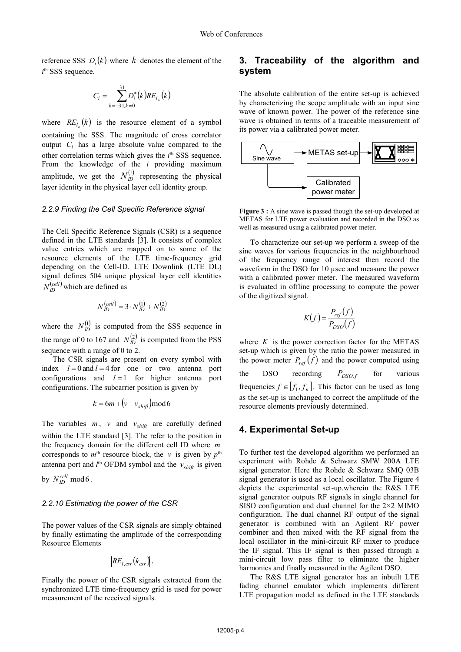reference SSS  $D_i(k)$  where  $k$  denotes the element of the  $i$ <sup>th</sup> SSS sequence.

$$
C_i = \sum_{k=-3}^{31} D_i^*(k) RE_{l_n}(k)
$$

where  $RE_{l_n}(k)$  is the resource element of a symbol containing the SSS. The magnitude of cross correlator output *Ci* has a large absolute value compared to the other correlation terms which gives the  $i<sup>th</sup>$  SSS sequence. From the knowledge of the *i* providing maximum amplitude, we get the  $N_D^{(1)}$  representing the physical layer identity in the physical layer cell identity group.

#### *2.2.9 Finding the Cell Specific Reference signal*

The Cell Specific Reference Signals (CSR) is a sequence defined in the LTE standards [3]. It consists of complex value entries which are mapped on to some of the resource elements of the LTE time-frequency grid depending on the Cell-ID. LTE Downlink (LTE DL) signal defines 504 unique physical layer cell identities  $N_{ID}^{(cell)}$  which are defined as

$$
N_{ID}^{(cell)} = 3 \cdot N_{ID}^{(1)} + N_{ID}^{(2)}
$$

where the  $N_D^{(1)}$  is computed from the SSS sequence in the range of 0 to 167 and  $N_D^{(2)}$  is computed from the PSS sequence with a range of 0 to 2.

The CSR signals are present on every symbol with index  $l = 0$  and  $l = 4$  for one or two antenna port configurations and  $l = 1$  for higher antenna port configurations. The subcarrier position is given by

$$
k = 6m + \left(v + v_{shift}\right) \mod 6
$$

The variables  $m$ ,  $v$  and  $v_{shift}$  are carefully defined within the LTE standard [3]. The refer to the position in the frequency domain for the different cell ID where *m* corresponds to  $m<sup>th</sup>$  resource block, the *v* is given by  $p<sup>th</sup>$ antenna port and  $l^{\text{th}}$  OFDM symbol and the  $v_{\text{shift}}$  is given by  $N_{ID}^{cell}$  mod 6.

# *2.2.10 Estimating the power of the CSR*

The power values of the CSR signals are simply obtained by finally estimating the amplitude of the corresponding Resource Elements

$$
\Big|RE_{l, csr}(k_{csr})\Big|.
$$

Finally the power of the CSR signals extracted from the synchronized LTE time-frequency grid is used for power measurement of the received signals.

# **3. Traceability of the algorithm and system**

The absolute calibration of the entire set-up is achieved by characterizing the scope amplitude with an input sine wave of known power. The power of the reference sine wave is obtained in terms of a traceable measurement of its power via a calibrated power meter.



**Figure 3 :** A sine wave is passed though the set-up developed at METAS for LTE power evaluation and recorded in the DSO as well as measured using a calibrated power meter.

To characterize our set-up we perform a sweep of the sine waves for various frequencies in the neighbourhood of the frequency range of interest then record the waveform in the DSO for 10 usec and measure the power with a calibrated power meter. The measured waveform is evaluated in offline processing to compute the power of the digitized signal.

$$
K(f) = \frac{P_{ref}(f)}{P_{DSO}(f)}
$$

where  $K$  is the power correction factor for the METAS set-up which is given by the ratio the power measured in the power meter  $P_{ref}(f)$  and the power computed using the DSO recording  $P_{DSO,f}$  for various frequencies  $f \in [f_1, f_n]$ . This factor can be used as long as the set-up is unchanged to correct the amplitude of the resource elements previously determined.

#### **4. Experimental Set-up**

To further test the developed algorithm we performed an experiment with Rohde & Schwarz SMW 200A LTE signal generator. Here the Rohde & Schwarz SMQ 03B signal generator is used as a local oscillator. The Figure 4 depicts the experimental set-up.wherein the R&S LTE signal generator outputs RF signals in single channel for SISO configuration and dual channel for the 2×2 MIMO configuration. The dual channel RF output of the signal generator is combined with an Agilent RF power combiner and then mixed with the RF signal from the local oscillator in the mini-circuit RF mixer to produce the IF signal. This IF signal is then passed through a mini-circuit low pass filter to eliminate the higher harmonics and finally measured in the Agilent DSO.

The R&S LTE signal generator has an inbuilt LTE fading channel emulator which implements different LTE propagation model as defined in the LTE standards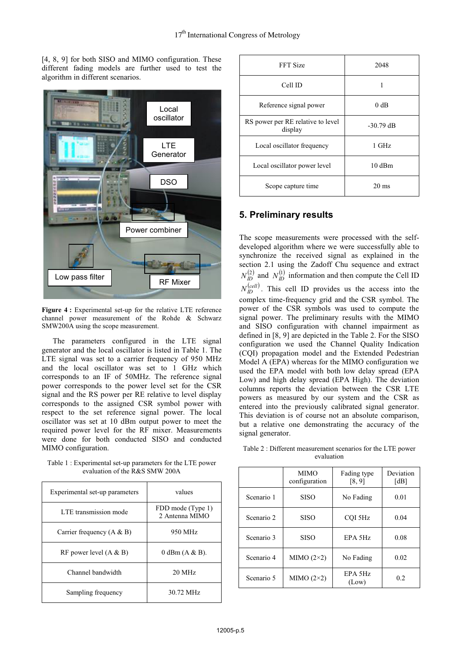[4, 8, 9] for both SISO and MIMO configuration. These different fading models are further used to test the algorithm in different scenarios.



**Figure 4 :** Experimental set-up for the relative LTE reference channel power measurement of the Rohde & Schwarz SMW200A using the scope measurement.

The parameters configured in the LTE signal generator and the local oscillator is listed in Table 1. The LTE signal was set to a carrier frequency of 950 MHz and the local oscillator was set to 1 GHz which corresponds to an IF of 50MHz. The reference signal power corresponds to the power level set for the CSR signal and the RS power per RE relative to level display corresponds to the assigned CSR symbol power with respect to the set reference signal power. The local oscillator was set at 10 dBm output power to meet the required power level for the RF mixer. Measurements were done for both conducted SISO and conducted MIMO configuration.

Table 1 : Experimental set-up parameters for the LTE power evaluation of the R&S SMW 200A

| Experimental set-up parameters | values                               |  |
|--------------------------------|--------------------------------------|--|
| LTE transmission mode          | FDD mode (Type 1)<br>2. Antenna MIMO |  |
| Carrier frequency $(A & B)$    | 950 MHz                              |  |
| RF power level $(A & B)$       | $0$ dBm $(A & B)$ .                  |  |
| Channel bandwidth              | $20 \text{ MHz}$                     |  |
| Sampling frequency             | 30.72 MHz                            |  |

| FFT Size                                     | 2048            |  |
|----------------------------------------------|-----------------|--|
| Cell ID                                      |                 |  |
| Reference signal power                       | 0 dB            |  |
| RS power per RE relative to level<br>display | $-30.79$ dB     |  |
| Local oscillator frequency                   | 1 GHz           |  |
| Local oscillator power level                 | $10$ dBm        |  |
| Scope capture time                           | $20 \text{ ms}$ |  |

# **5. Preliminary results**

The scope measurements were processed with the selfdeveloped algorithm where we were successfully able to synchronize the received signal as explained in the section 2.1 using the Zadoff Chu sequence and extract  $N_D^{(2)}$  and  $N_D^{(1)}$  information and then compute the Cell ID  $N_{ID}^{(cell)}$ . This cell ID provides us the access into the complex time-frequency grid and the CSR symbol. The power of the CSR symbols was used to compute the signal power. The preliminary results with the MIMO and SISO configuration with channel impairment as defined in [8, 9] are depicted in the Table 2. For the SISO configuration we used the Channel Quality Indication (CQI) propagation model and the Extended Pedestrian Model A (EPA) whereas for the MIMO configuration we used the EPA model with both low delay spread (EPA Low) and high delay spread (EPA High). The deviation columns reports the deviation between the CSR LTE powers as measured by our system and the CSR as entered into the previously calibrated signal generator. This deviation is of course not an absolute comparison, but a relative one demonstrating the accuracy of the signal generator.

Table 2 : Different measurement scenarios for the LTE power evaluation

|            | <b>MIMO</b><br>configuration | Fading type<br>[8, 9] | Deviation<br>[dB] |
|------------|------------------------------|-----------------------|-------------------|
| Scenario 1 | <b>SISO</b>                  | No Fading             | 0.01              |
| Scenario 2 | <b>SISO</b>                  | COI 5Hz               | 0.04              |
| Scenario 3 | <b>SISO</b>                  | EPA 5Hz               | 0.08              |
| Scenario 4 | MIMO $(2\times2)$            | No Fading             | 0.02              |
| Scenario 5 | MIMO $(2\times2)$            | EPA 5Hz<br>(Low)      | 0.2               |